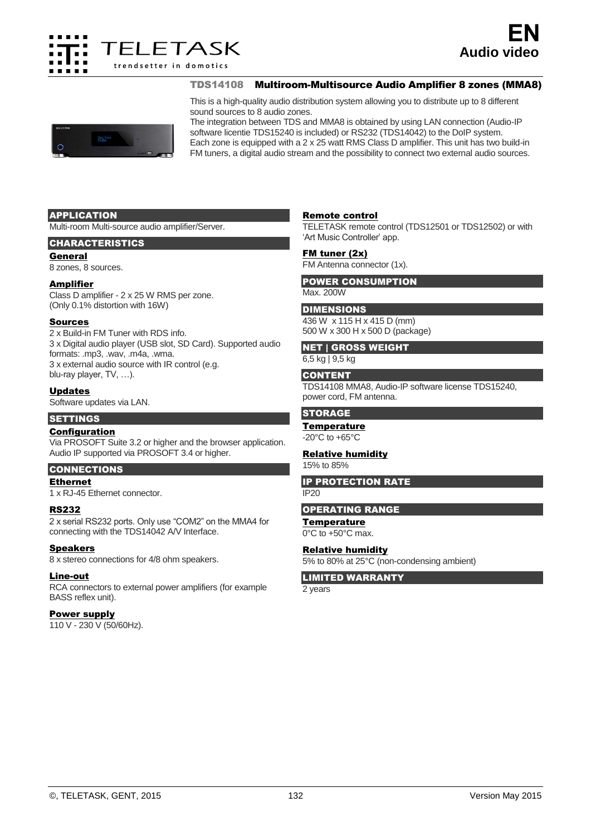

TDS14108 Multiroom-Multisource Audio Amplifier 8 zones (MMA8)

This is a high-quality audio distribution system allowing you to distribute up to 8 different sound sources to 8 audio zones.

The integration between TDS and MMA8 is obtained by using LAN connection (Audio-IP software licentie TDS15240 is included) or RS232 (TDS14042) to the DoIP system. Each zone is equipped with a 2 x 25 watt RMS Class D amplifier. This unit has two build-in FM tuners, a digital audio stream and the possibility to connect two external audio sources.

#### APPLICATION

Multi-room Multi-source audio amplifier/Server.

## CHARACTERISTICS

General

8 zones, 8 sources.

#### Amplifier

Class D amplifier - 2 x 25 W RMS per zone. (Only 0.1% distortion with 16W)

#### Sources

2 x Build-in FM Tuner with RDS info. 3 x Digital audio player (USB slot, SD Card). Supported audio formats: .mp3, .wav, .m4a, .wma. 3 x external audio source with IR control (e.g. blu-ray player, TV, …).

## Updates

Software updates via LAN.

## **SETTINGS**

## Configuration

Via PROSOFT Suite 3.2 or higher and the browser application. Audio IP supported via PROSOFT 3.4 or higher.

## CONNECTIONS

## Ethernet

1 x RJ-45 Ethernet connector.

#### RS232

2 x serial RS232 ports. Only use "COM2" on the MMA4 for connecting with the TDS14042 A/V Interface.

#### **Speakers**

8 x stereo connections for 4/8 ohm speakers.

#### Line-out

RCA connectors to external power amplifiers (for example BASS reflex unit).

#### Power supply

110 V - 230 V (50/60Hz).

## Remote control

TELETASK remote control (TDS12501 or TDS12502) or with 'Art Music Controller' app.

#### FM tuner (2x)

FM Antenna connector (1x).

#### POWER CONSUMPTION Max. 200W

## **DIMENSIONS**

436 W x 115 H x 415 D (mm) 500 W x 300 H x 500 D (package)

# NET | GROSS WEIGHT

6,5 kg | 9,5 kg

## **CONTENT**

TDS14108 MMA8, Audio-IP software license TDS15240, power cord, FM antenna.

## **STORAGE**

#### **Temperature**

-20°C to +65°C

## Relative humidity

15% to 85%

IP PROTECTION RATE  $IP20$ 

## OPERATING RANGE

**Temperature** 0°C to +50°C max.

# Relative humidity

5% to 80% at 25°C (non-condensing ambient)

LIMITED WARRANTY

2 years